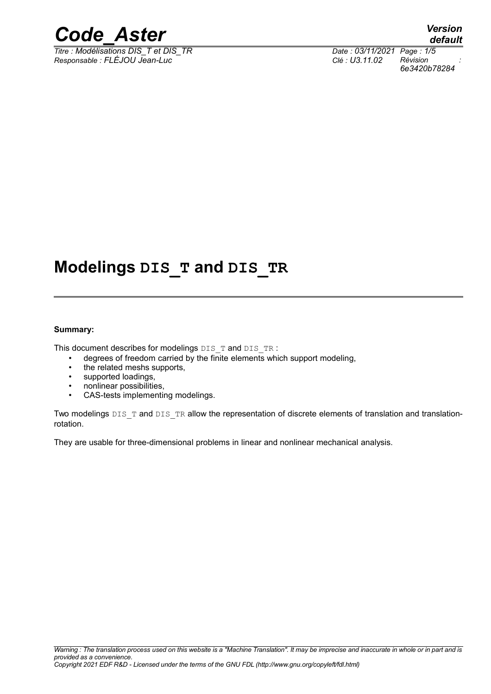

 $\overline{T}$ *Titre : Modélisations DIS\_T et DIS\_TR Responsable : FLÉJOU Jean-Luc Clé : U3.11.02 Révision :*

*6e3420b78284*

# **Modelings DIS\_T and DIS\_TR**

#### **Summary:**

This document describes for modelings DIS\_T and DIS\_TR :

- degrees of freedom carried by the finite elements which support modeling,
- the related meshs supports,
- supported loadings,
- nonlinear possibilities,
- CAS-tests implementing modelings.

Two modelings DIS\_T and DIS\_TR allow the representation of discrete elements of translation and translationrotation.

They are usable for three-dimensional problems in linear and nonlinear mechanical analysis.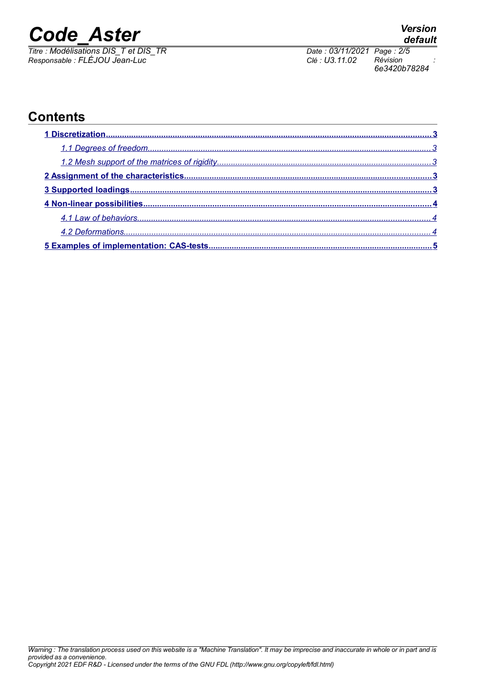*Titre : Modélisations DIS\_T et DIS\_TR Date : 03/11/2021 Page : 2/5 Responsable : FLÉJOU Jean-Luc Clé : U3.11.02 Révision :*

*6e3420b78284*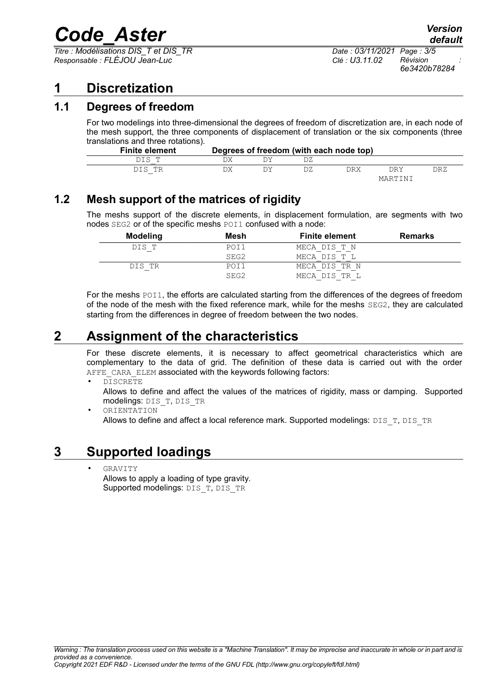*Titre : Modélisations DIS\_T et DIS\_TR Date : 03/11/2021 Page : 3/5 Responsable : FLÉJOU Jean-Luc Clé : U3.11.02 Révision :*

*6e3420b78284*

### <span id="page-2-4"></span>**1 Discretization**

#### **1.1 Degrees of freedom**

<span id="page-2-3"></span>For two modelings into three-dimensional the degrees of freedom of discretization are, in each node of the mesh support, the three components of displacement of translation or the six components (three translations and three rotations).

| <b>Finite element</b> |  | Degrees of freedom (with each node top) |     |         |     |
|-----------------------|--|-----------------------------------------|-----|---------|-----|
| DIS T                 |  |                                         |     |         |     |
| DIS TR                |  |                                         | DRX | DRY     | DRZ |
|                       |  |                                         |     | MARTINI |     |

#### **1.2 Mesh support of the matrices of rigidity**

<span id="page-2-2"></span>The meshs support of the discrete elements, in displacement formulation, are segments with two nodes SEG2 or of the specific meshs POI1 confused with a node:

| Modeling | Mesh | <b>Finite element</b> | <b>Remarks</b> |
|----------|------|-----------------------|----------------|
| DIS T    | POI1 | MECA DIS T N          |                |
|          | SEG2 | MECA DIS T L          |                |
| DIS TR   | POI1 | MECA DIS TR N         |                |
|          | SEG2 | MECA DIS TR L         |                |

For the meshs POI1, the efforts are calculated starting from the differences of the degrees of freedom of the node of the mesh with the fixed reference mark, while for the meshs SEG2, they are calculated starting from the differences in degree of freedom between the two nodes.

## **2 Assignment of the characteristics**

<span id="page-2-1"></span>For these discrete elements, it is necessary to affect geometrical characteristics which are complementary to the data of grid. The definition of these data is carried out with the order AFFE CARA ELEM associated with the keywords following factors:

• DISCRETE

Allows to define and affect the values of the matrices of rigidity, mass or damping. Supported modelings: DIS\_T, DIS\_TR

• ORIENTATION

Allows to define and affect a local reference mark. Supported modelings:  $DIS$   $T, DIS$   $TR$ 

### **3 Supported loadings**

<span id="page-2-0"></span>• GRAVITY

Allows to apply a loading of type gravity. Supported modelings: DIS\_T, DIS\_TR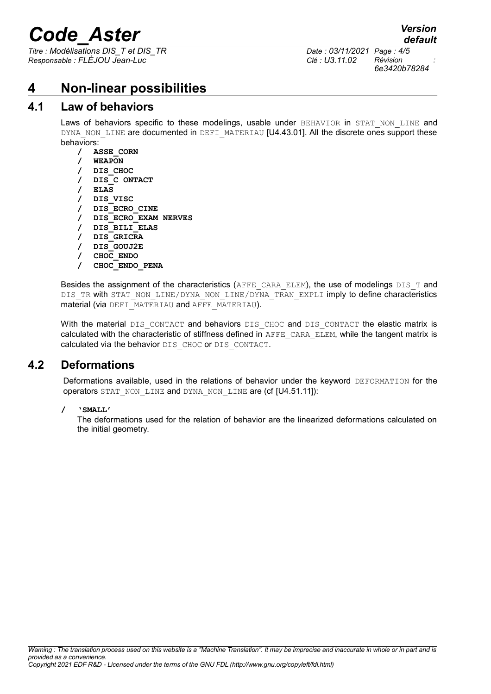*Titre : Modélisations DIS\_T et DIS\_TR Date : 03/11/2021 Page : 4/5 Responsable : FLÉJOU Jean-Luc Clé : U3.11.02 Révision :*

*6e3420b78284*

*default*

#### <span id="page-3-2"></span>**4 Non-linear possibilities**

#### **4.1 Law of behaviors**

<span id="page-3-1"></span>Laws of behaviors specific to these modelings, usable under BEHAVIOR in STAT NON LINE and DYNA\_NON\_LINE are documented in DEFI\_MATERIAU [U4.43.01]. All the discrete ones support these behaviors:

**/ ASSE\_CORN / WEAPON / DIS\_CHOC / DIS\_C ONTACT / ELAS / DIS\_VISC / DIS\_ECRO\_CINE / DIS\_ECRO\_EXAM NERVES / DIS\_BILI\_ELAS / DIS\_GRICRA / DIS\_GOUJ2E / CHOC\_ENDO / CHOC\_ENDO\_PENA**

Besides the assignment of the characteristics (AFFE\_CARA\_ELEM), the use of modelings  $DIS_T$  and DIS\_TR with STAT\_NON\_LINE/DYNA\_NON\_LINE/DYNA\_TRAN\_EXPLI imply to define characteristics material (via DEFI\_MATERIAU and AFFE\_MATERIAU).

With the material DIS\_CONTACT and behaviors DIS\_CHOC and DIS\_CONTACT the elastic matrix is calculated with the characteristic of stiffness defined in AFFE\_CARA\_ELEM, while the tangent matrix is calculated via the behavior DIS\_CHOC or DIS\_CONTACT.

#### **4.2 Deformations**

<span id="page-3-0"></span>Deformations available, used in the relations of behavior under the keyword DEFORMATION for the operators STAT\_NON\_LINE and DYNA\_NON\_LINE are (cf [U4.51.11]):

**/ 'SMALL'**

The deformations used for the relation of behavior are the linearized deformations calculated on the initial geometry.